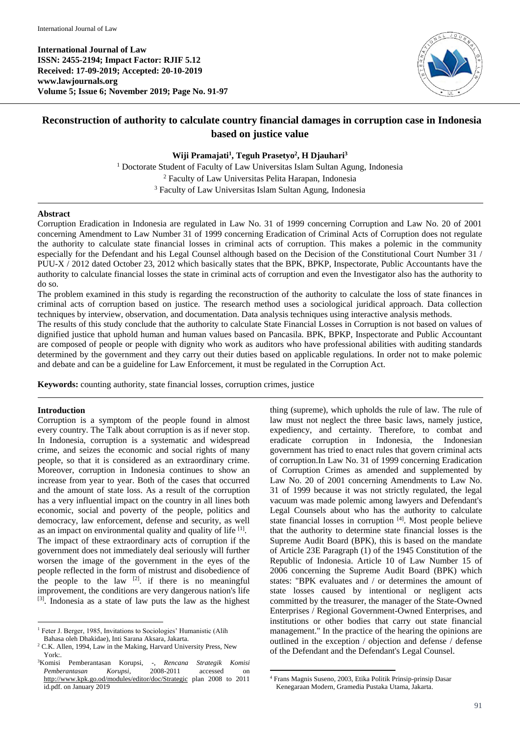**International Journal of Law ISSN: 2455-2194; Impact Factor: RJIF 5.12 Received: 17-09-2019; Accepted: 20-10-2019 www.lawjournals.org Volume 5; Issue 6; November 2019; Page No. 91-97**



# **Reconstruction of authority to calculate country financial damages in corruption case in Indonesia based on justice value**

**Wiji Pramajati<sup>1</sup> , Teguh Prasetyo<sup>2</sup> , H Djauhari 3**

<sup>1</sup> Doctorate Student of Faculty of Law Universitas Islam Sultan Agung, Indonesia <sup>2</sup> Faculty of Law Universitas Pelita Harapan, Indonesia <sup>3</sup> Faculty of Law Universitas Islam Sultan Agung, Indonesia

#### **Abstract**

Corruption Eradication in Indonesia are regulated in Law No. 31 of 1999 concerning Corruption and Law No. 20 of 2001 concerning Amendment to Law Number 31 of 1999 concerning Eradication of Criminal Acts of Corruption does not regulate the authority to calculate state financial losses in criminal acts of corruption. This makes a polemic in the community especially for the Defendant and his Legal Counsel although based on the Decision of the Constitutional Court Number 31 / PUU-X / 2012 dated October 23, 2012 which basically states that the BPK, BPKP, Inspectorate, Public Accountants have the authority to calculate financial losses the state in criminal acts of corruption and even the Investigator also has the authority to do so.

The problem examined in this study is regarding the reconstruction of the authority to calculate the loss of state finances in criminal acts of corruption based on justice. The research method uses a sociological juridical approach. Data collection techniques by interview, observation, and documentation. Data analysis techniques using interactive analysis methods.

The results of this study conclude that the authority to calculate State Financial Losses in Corruption is not based on values of dignified justice that uphold human and human values based on Pancasila. BPK, BPKP, Inspectorate and Public Accountant are composed of people or people with dignity who work as auditors who have professional abilities with auditing standards determined by the government and they carry out their duties based on applicable regulations. In order not to make polemic and debate and can be a guideline for Law Enforcement, it must be regulated in the Corruption Act.

**Keywords:** counting authority, state financial losses, corruption crimes, justice

## **Introduction**

Corruption is a symptom of the people found in almost every country. The Talk about corruption is as if never stop. In Indonesia, corruption is a systematic and widespread crime, and seizes the economic and social rights of many people, so that it is considered as an extraordinary crime. Moreover, corruption in Indonesia continues to show an increase from year to year. Both of the cases that occurred and the amount of state loss. As a result of the corruption has a very influential impact on the country in all lines both economic, social and poverty of the people, politics and democracy, law enforcement, defense and security, as well as an impact on environmental quality and quality of life [1]. The impact of these extraordinary acts of corruption if the government does not immediately deal seriously will further worsen the image of the government in the eyes of the people reflected in the form of mistrust and disobedience of the people to the law  $[2]$ . if there is no meaningful improvement, the conditions are very dangerous nation's life [3]. Indonesia as a state of law puts the law as the highest

thing (supreme), which upholds the rule of law. The rule of law must not neglect the three basic laws, namely justice, expediency, and certainty. Therefore, to combat and eradicate corruption in Indonesia, the Indonesian government has tried to enact rules that govern criminal acts of corruption.In Law No. 31 of 1999 concerning Eradication of Corruption Crimes as amended and supplemented by Law No. 20 of 2001 concerning Amendments to Law No. 31 of 1999 because it was not strictly regulated, the legal vacuum was made polemic among lawyers and Defendant's Legal Counsels about who has the authority to calculate state financial losses in corruption [4]. Most people believe that the authority to determine state financial losses is the Supreme Audit Board (BPK), this is based on the mandate of Article 23E Paragraph (1) of the 1945 Constitution of the Republic of Indonesia. Article 10 of Law Number 15 of 2006 concerning the Supreme Audit Board (BPK) which states: "BPK evaluates and / or determines the amount of state losses caused by intentional or negligent acts committed by the treasurer, the manager of the State-Owned Enterprises / Regional Government-Owned Enterprises, and institutions or other bodies that carry out state financial management." In the practice of the hearing the opinions are outlined in the exception / objection and defense / defense of the Defendant and the Defendant's Legal Counsel.

 $\overline{a}$ <sup>1</sup> Feter J. Berger, 1985, Invitations to Sociologies' Humanistic (Alih Bahasa oleh Dhakidae), Inti Sarana Aksara, Jakarta.

<sup>&</sup>lt;sup>2</sup> C.K. Allen, 1994, Law in the Making, Harvard University Press, New York:

<sup>3</sup>Komisi Pemberantasan Korupsi, -, *Rencana Strategik Komisi Pemberantasan Korupsi*, 2008-2011 accessed on <http://www.kpk.go.od/modules/editor/doc/Strategic> plan 2008 to 2011 id.pdf. on January 2019

**<sup>.</sup>** <sup>4</sup> Frans Magnis Suseno, 2003, Etika Politik Prinsip-prinsip Dasar Kenegaraan Modern, Gramedia Pustaka Utama, Jakarta.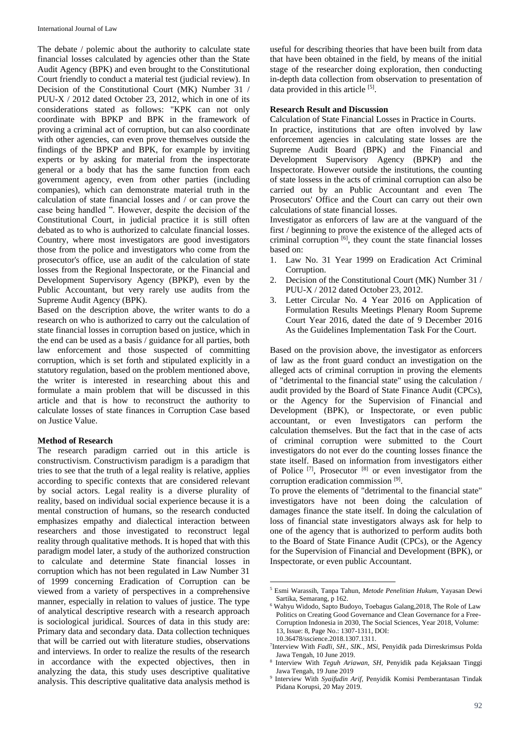The debate / polemic about the authority to calculate state financial losses calculated by agencies other than the State Audit Agency (BPK) and even brought to the Constitutional Court friendly to conduct a material test (judicial review). In Decision of the Constitutional Court (MK) Number 31 / PUU-X / 2012 dated October 23, 2012, which in one of its considerations stated as follows: "KPK can not only coordinate with BPKP and BPK in the framework of proving a criminal act of corruption, but can also coordinate with other agencies, can even prove themselves outside the findings of the BPKP and BPK, for example by inviting experts or by asking for material from the inspectorate general or a body that has the same function from each government agency, even from other parties (including companies), which can demonstrate material truth in the calculation of state financial losses and / or can prove the case being handled ". However, despite the decision of the Constitutional Court, in judicial practice it is still often debated as to who is authorized to calculate financial losses. Country, where most investigators are good investigators those from the police and investigators who come from the prosecutor's office, use an audit of the calculation of state losses from the Regional Inspectorate, or the Financial and Development Supervisory Agency (BPKP), even by the Public Accountant, but very rarely use audits from the Supreme Audit Agency (BPK).

Based on the description above, the writer wants to do a research on who is authorized to carry out the calculation of state financial losses in corruption based on justice, which in the end can be used as a basis / guidance for all parties, both law enforcement and those suspected of committing corruption, which is set forth and stipulated explicitly in a statutory regulation, based on the problem mentioned above, the writer is interested in researching about this and formulate a main problem that will be discussed in this article and that is how to reconstruct the authority to calculate losses of state finances in Corruption Case based on Justice Value.

## **Method of Research**

The research paradigm carried out in this article is constructivism. Constructivism paradigm is a paradigm that tries to see that the truth of a legal reality is relative, applies according to specific contexts that are considered relevant by social actors. Legal reality is a diverse plurality of reality, based on individual social experience because it is a mental construction of humans, so the research conducted emphasizes empathy and dialectical interaction between researchers and those investigated to reconstruct legal reality through qualitative methods. It is hoped that with this paradigm model later, a study of the authorized construction to calculate and determine State financial losses in corruption which has not been regulated in Law Number 31 of 1999 concerning Eradication of Corruption can be viewed from a variety of perspectives in a comprehensive manner, especially in relation to values of justice. The type of analytical descriptive research with a research approach is sociological juridical. Sources of data in this study are: Primary data and secondary data. Data collection techniques that will be carried out with literature studies, observations and interviews. In order to realize the results of the research in accordance with the expected objectives, then in analyzing the data, this study uses descriptive qualitative analysis. This descriptive qualitative data analysis method is

useful for describing theories that have been built from data that have been obtained in the field, by means of the initial stage of the researcher doing exploration, then conducting in-depth data collection from observation to presentation of data provided in this article [5].

### **Research Result and Discussion**

Calculation of State Financial Losses in Practice in Courts. In practice, institutions that are often involved by law enforcement agencies in calculating state losses are the Supreme Audit Board (BPK) and the Financial and Development Supervisory Agency (BPKP) and the Inspectorate. However outside the institutions, the counting of state lossess in the acts of criminal corruption can also be carried out by an Public Accountant and even The Prosecutors' Office and the Court can carry out their own calculations of state financial losses.

Investigator as enforcers of law are at the vanguard of the first / beginning to prove the existence of the alleged acts of criminal corruption [6] , they count the state financial losses based on:

- 1. Law No. 31 Year 1999 on Eradication Act Criminal Corruption.
- 2. Decision of the Constitutional Court (MK) Number 31 / PUU-X / 2012 dated October 23, 2012.
- 3. Letter Circular No. 4 Year 2016 on Application of Formulation Results Meetings Plenary Room Supreme Court Year 2016, dated the date of 9 December 2016 As the Guidelines Implementation Task For the Court.

Based on the provision above, the investigator as enforcers of law as the front guard conduct an investigation on the alleged acts of criminal corruption in proving the elements of "detrimental to the financial state" using the calculation / audit provided by the Board of State Finance Audit (CPCs), or the Agency for the Supervision of Financial and Development (BPK), or Inspectorate, or even public accountant, or even Investigators can perform the calculation themselves. But the fact that in the case of acts of criminal corruption were submitted to the Court investigators do not ever do the counting losses finance the state itself. Based on information from investigators either of Police<sup>[7]</sup>, Prosecutor<sup>[8]</sup> or even investigator from the corruption eradication commission [9] .

To prove the elements of "detrimental to the financial state" investigators have not been doing the calculation of damages finance the state itself. In doing the calculation of loss of financial state investigators always ask for help to one of the agency that is authorized to perform audits both to the Board of State Finance Audit (CPCs), or the Agency for the Supervision of Financial and Development (BPK), or Inspectorate, or even public Accountant.

1

<sup>5</sup> Esmi Warassih, Tanpa Tahun, *Metode Penelitian Hukum,* Yayasan Dewi Sartika, Semarang, p 162.

<sup>6</sup> Wahyu Widodo, Sapto Budoyo, Toebagus Galang,2018, The Role of Law Politics on Creating Good Governance and Clean Governance for a Free-Corruption Indonesia in 2030, The Social Sciences, Year 2018, Volume: 13, Issue: 8, Page No.: 1307-1311, DOI: 10.36478/sscience.2018.1307.1311.

<sup>7</sup> Interview With *Fadli, SH., SIK., MSi,* Penyidik pada Dirreskrimsus Polda Jawa Tengah, 10 June 2019.

<sup>8</sup> Interview With *Teguh Ariawan, SH,* Penyidik pada Kejaksaan Tinggi Jawa Tengah, 19 June 2019

<sup>9</sup> Interview With *Syaifudin Arif,* Penyidik Komisi Pemberantasan Tindak Pidana Korupsi, 20 May 2019.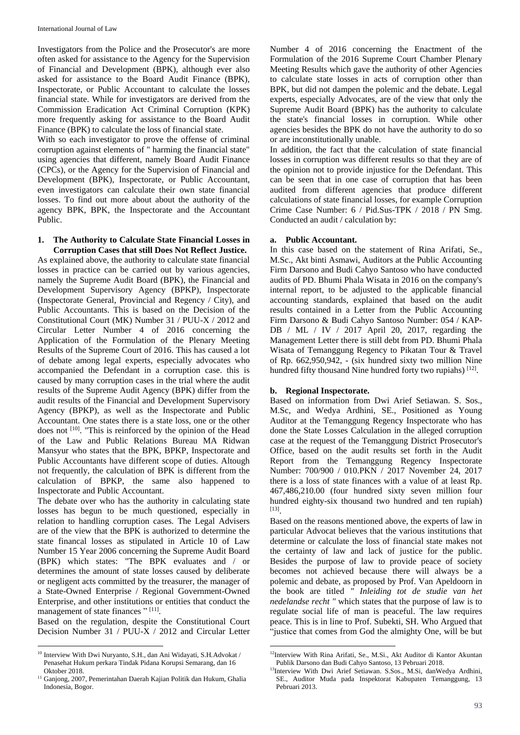Investigators from the Police and the Prosecutor's are more often asked for assistance to the Agency for the Supervision of Financial and Development (BPK), although ever also asked for assistance to the Board Audit Finance (BPK), Inspectorate, or Public Accountant to calculate the losses financial state. While for investigators are derived from the Commission Eradication Act Criminal Corruption (KPK) more frequently asking for assistance to the Board Audit Finance (BPK) to calculate the loss of financial state.

With so each investigator to prove the offense of criminal corruption against elements of " harming the financial state" using agencies that different, namely Board Audit Finance (CPCs), or the Agency for the Supervision of Financial and Development (BPK), Inspectorate, or Public Accountant, even investigators can calculate their own state financial losses. To find out more about about the authority of the agency BPK, BPK, the Inspectorate and the Accountant Public.

#### **1. The Authority to Calculate State Financial Losses in Corruption Cases that still Does Not Reflect Justice.**

As explained above, the authority to calculate state financial losses in practice can be carried out by various agencies, namely the Supreme Audit Board (BPK), the Financial and Development Supervisory Agency (BPKP), Inspectorate (Inspectorate General, Provincial and Regency / City), and Public Accountants. This is based on the Decision of the Constitutional Court (MK) Number 31 / PUU-X / 2012 and Circular Letter Number 4 of 2016 concerning the Application of the Formulation of the Plenary Meeting Results of the Supreme Court of 2016. This has caused a lot of debate among legal experts, especially advocates who accompanied the Defendant in a corruption case. this is caused by many corruption cases in the trial where the audit results of the Supreme Audit Agency (BPK) differ from the audit results of the Financial and Development Supervisory Agency (BPKP), as well as the Inspectorate and Public Accountant. One states there is a state loss, one or the other does not <sup>[10]</sup>. "This is reinforced by the opinion of the Head of the Law and Public Relations Bureau MA Ridwan Mansyur who states that the BPK, BPKP, Inspectorate and Public Accountants have different scope of duties. Altough not frequently, the calculation of BPK is different from the calculation of BPKP, the same also happened to Inspectorate and Public Accountant.

The debate over who has the authority in calculating state losses has begun to be much questioned, especially in relation to handling corruption cases. The Legal Advisers are of the view that the BPK is authorized to determine the state financal losses as stipulated in Article 10 of Law Number 15 Year 2006 concerning the Supreme Audit Board (BPK) which states: "The BPK evaluates and / or determines the amount of state losses caused by deliberate or negligent acts committed by the treasurer, the manager of a State-Owned Enterprise / Regional Government-Owned Enterprise, and other institutions or entities that conduct the management of state finances "<sup>[11]</sup>.

Based on the regulation, despite the Constitutional Court Decision Number 31 / PUU-X / 2012 and Circular Letter Number 4 of 2016 concerning the Enactment of the Formulation of the 2016 Supreme Court Chamber Plenary Meeting Results which gave the authority of other Agencies to calculate state losses in acts of corruption other than BPK, but did not dampen the polemic and the debate. Legal experts, especially Advocates, are of the view that only the Supreme Audit Board (BPK) has the authority to calculate the state's financial losses in corruption. While other agencies besides the BPK do not have the authority to do so or are inconstitutionally unable.

In addition, the fact that the calculation of state financial losses in corruption was different results so that they are of the opinion not to provide injustice for the Defendant. This can be seen that in one case of corruption that has been audited from different agencies that produce different calculations of state financial losses, for example Corruption Crime Case Number: 6 / Pid.Sus-TPK / 2018 / PN Smg. Conducted an audit / calculation by:

## **a. Public Accountant.**

In this case based on the statement of Rina Arifati, Se., M.Sc., Akt binti Asmawi, Auditors at the Public Accounting Firm Darsono and Budi Cahyo Santoso who have conducted audits of PD. Bhumi Phala Wisata in 2016 on the company's internal report, to be adjusted to the applicable financial accounting standards, explained that based on the audit results contained in a Letter from the Public Accounting Firm Darsono & Budi Cahyo Santoso Number: 054 / KAP-DB / ML / IV / 2017 April 20, 2017, regarding the Management Letter there is still debt from PD. Bhumi Phala Wisata of Temanggung Regency to Pikatan Tour & Travel of Rp. 662,950,942, - (six hundred sixty two million Nine hundred fifty thousand Nine hundred forty two rupiahs) [12].

## **b. Regional Inspectorate.**

Based on information from Dwi Arief Setiawan. S. Sos., M.Sc, and Wedya Ardhini, SE., Positioned as Young Auditor at the Temanggung Regency Inspectorate who has done the State Losses Calculation in the alleged corruption case at the request of the Temanggung District Prosecutor's Office, based on the audit results set forth in the Audit Report from the Temanggung Regency Inspectorate Number: 700/900 / 010.PKN / 2017 November 24, 2017 there is a loss of state finances with a value of at least Rp. 467,486,210.00 (four hundred sixty seven million four hundred eighty-six thousand two hundred and ten rupiah) [13] .

Based on the reasons mentioned above, the experts of law in particular Advocat believes that the various institutions that determine or calculate the loss of financial state makes not the certainty of law and lack of justice for the public. Besides the purpose of law to provide peace of society becomes not achieved because there will always be a polemic and debate, as proposed by Prof. Van Apeldoorn in the book are titled *" Inleiding tot de studie van het nedelandse recht "* which states that the purpose of law is to regulate social life of man is peaceful. The law requires peace. This is in line to Prof. Subekti, SH. Who Argued that "justice that comes from God the almighty One, will be but

 $\overline{a}$ <sup>10</sup> Interview With Dwi Nuryanto, S.H., dan Ani Widayati, S.H*.*Advokat / Penasehat Hukum perkara Tindak Pidana Korupsi Semarang, dan 16 Oktober 2018.

 $^{11}$  Ganjong, 2007, Pemerintahan Daerah Kajian Politik dan Hukum, Ghalia Indonesia, Bogor.

 $\overline{a}$ <sup>12</sup>Interview With Rina Arifati, Se., M.Si., Akt Auditor di Kantor Akuntan Publik Darsono dan Budi Cahyo Santoso, 13 Pebruari 2018.

<sup>&</sup>lt;sup>13</sup>Interview With Dwi Arief Setiawan. S.Sos., M.Si, danWedya Ardhini, SE., Auditor Muda pada Inspektorat Kabupaten Temanggung, 13 Pebruari 2013.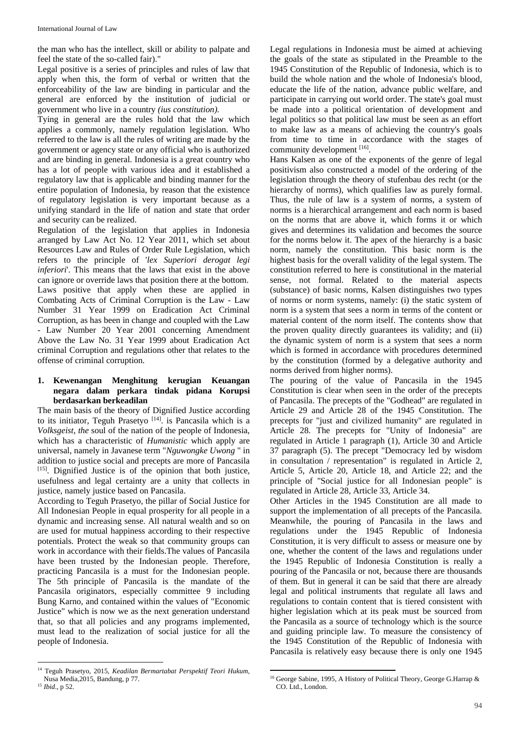the man who has the intellect, skill or ability to palpate and feel the state of the so-called fair)."

Legal positive is a series of principles and rules of law that apply when this, the form of verbal or written that the enforceability of the law are binding in particular and the general are enforced by the institution of judicial or government who live in a country *(ius constitution).*

Tying in general are the rules hold that the law which applies a commonly, namely regulation legislation. Who referred to the law is all the rules of writing are made by the government or agency state or any official who is authorized and are binding in general. Indonesia is a great country who has a lot of people with various idea and it established a regulatory law that is applicable and binding manner for the entire population of Indonesia, by reason that the existence of regulatory legislation is very important because as a unifying standard in the life of nation and state that order and security can be realized.

Regulation of the legislation that applies in Indonesia arranged by Law Act No. 12 Year 2011, which set about Resources Law and Rules of Order Rule Legislation, which refers to the principle of '*lex Superiori derogat legi inferiori*'. This means that the laws that exist in the above can ignore or override laws that position there at the bottom. Laws positive that apply when these are applied in Combating Acts of Criminal Corruption is the Law - Law Number 31 Year 1999 on Eradication Act Criminal Corruption, as has been in change and coupled with the Law - Law Number 20 Year 2001 concerning Amendment Above the Law No. 31 Year 1999 about Eradication Act criminal Corruption and regulations other that relates to the offense of criminal corruption.

### **1. Kewenangan Menghitung kerugian Keuangan negara dalam perkara tindak pidana Korupsi berdasarkan berkeadilan**

The main basis of the theory of Dignified Justice according to its initiator, Teguh Prasetyo<sup>[14]</sup>. is Pancasila which is a *Volksgeist, the* soul of the nation of the people of Indonesia, which has a characteristic of *Humanistic* which apply are universal, namely in Javanese term "*Nguwongke Uwong* " in addition to justice social and precepts are more of Pancasila [15]. Dignified Justice is of the opinion that both justice, usefulness and legal certainty are a unity that collects in justice, namely justice based on Pancasila.

According to Teguh Prasetyo, the pillar of Social Justice for All Indonesian People in equal prosperity for all people in a dynamic and increasing sense. All natural wealth and so on are used for mutual happiness according to their respective potentials. Protect the weak so that community groups can work in accordance with their fields.The values of Pancasila have been trusted by the Indonesian people. Therefore, practicing Pancasila is a must for the Indonesian people. The 5th principle of Pancasila is the mandate of the Pancasila originators, especially committee 9 including Bung Karno, and contained within the values of "Economic Justice" which is now we as the next generation understand that, so that all policies and any programs implemented, must lead to the realization of social justice for all the people of Indonesia.

 $\overline{a}$ 

Legal regulations in Indonesia must be aimed at achieving the goals of the state as stipulated in the Preamble to the 1945 Constitution of the Republic of Indonesia, which is to build the whole nation and the whole of Indonesia's blood, educate the life of the nation, advance public welfare, and participate in carrying out world order. The state's goal must be made into a political orientation of development and legal politics so that political law must be seen as an effort to make law as a means of achieving the country's goals from time to time in accordance with the stages of community development [16].

Hans Kalsen as one of the exponents of the genre of legal positivism also constructed a model of the ordering of the legislation through the theory of stufenbau des recht (or the hierarchy of norms), which qualifies law as purely formal. Thus, the rule of law is a system of norms, a system of norms is a hierarchical arrangement and each norm is based on the norms that are above it, which forms it or which gives and determines its validation and becomes the source for the norms below it. The apex of the hierarchy is a basic norm, namely the constitution. This basic norm is the highest basis for the overall validity of the legal system. The constitution referred to here is constitutional in the material sense, not formal. Related to the material aspects (substance) of basic norms, Kalsen distinguishes two types of norms or norm systems, namely: (i) the static system of norm is a system that sees a norm in terms of the content or material content of the norm itself. The contents show that the proven quality directly guarantees its validity; and (ii) the dynamic system of norm is a system that sees a norm which is formed in accordance with procedures determined by the constitution (formed by a delegative authority and norms derived from higher norms).

The pouring of the value of Pancasila in the 1945 Constitution is clear when seen in the order of the precepts of Pancasila. The precepts of the "Godhead" are regulated in Article 29 and Article 28 of the 1945 Constitution. The precepts for "just and civilized humanity" are regulated in Article 28. The precepts for "Unity of Indonesia" are regulated in Article 1 paragraph (1), Article 30 and Article 37 paragraph (5). The precept "Democracy led by wisdom in consultation / representation" is regulated in Article 2, Article 5, Article 20, Article 18, and Article 22; and the principle of "Social justice for all Indonesian people" is regulated in Article 28, Article 33, Article 34.

Other Articles in the 1945 Constitution are all made to support the implementation of all precepts of the Pancasila. Meanwhile, the pouring of Pancasila in the laws and regulations under the 1945 Republic of Indonesia Constitution, it is very difficult to assess or measure one by one, whether the content of the laws and regulations under the 1945 Republic of Indonesia Constitution is really a pouring of the Pancasila or not, because there are thousands of them. But in general it can be said that there are already legal and political instruments that regulate all laws and regulations to contain content that is tiered consistent with higher legislation which at its peak must be sourced from the Pancasila as a source of technology which is the source and guiding principle law. To measure the consistency of the 1945 Constitution of the Republic of Indonesia with Pancasila is relatively easy because there is only one 1945

<sup>14</sup> Teguh Prasetyo, 2015, *Keadilan Bermartabat Perspektif Teori Hukum,*  Nusa Media,2015, Bandung, p 77. <sup>15</sup> *Ibid*., p 52.

**<sup>.</sup>** <sup>16</sup> George Sabine, 1995, A History of Political Theory, George G.Harrap & CO. Ltd., London.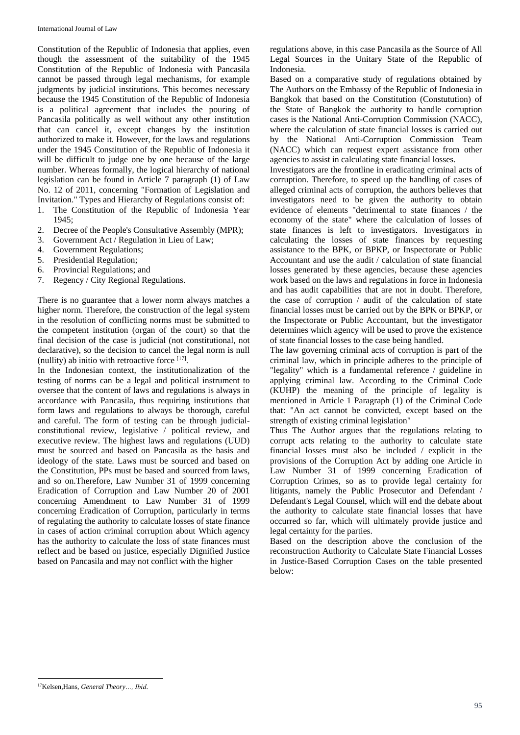Constitution of the Republic of Indonesia that applies, even though the assessment of the suitability of the 1945 Constitution of the Republic of Indonesia with Pancasila cannot be passed through legal mechanisms, for example judgments by judicial institutions. This becomes necessary because the 1945 Constitution of the Republic of Indonesia is a political agreement that includes the pouring of Pancasila politically as well without any other institution that can cancel it, except changes by the institution authorized to make it. However, for the laws and regulations under the 1945 Constitution of the Republic of Indonesia it will be difficult to judge one by one because of the large number. Whereas formally, the logical hierarchy of national legislation can be found in Article 7 paragraph (1) of Law No. 12 of 2011, concerning "Formation of Legislation and Invitation." Types and Hierarchy of Regulations consist of:

- 1. The Constitution of the Republic of Indonesia Year 1945;
- 2. Decree of the People's Consultative Assembly (MPR);
- 3. Government Act / Regulation in Lieu of Law;
- 4. Government Regulations;
- 5. Presidential Regulation;
- 6. Provincial Regulations; and
- 7. Regency / City Regional Regulations.

There is no guarantee that a lower norm always matches a higher norm. Therefore, the construction of the legal system in the resolution of conflicting norms must be submitted to the competent institution (organ of the court) so that the final decision of the case is judicial (not constitutional, not declarative), so the decision to cancel the legal norm is null (nullity) ab initio with retroactive force [17] .

In the Indonesian context, the institutionalization of the testing of norms can be a legal and political instrument to oversee that the content of laws and regulations is always in accordance with Pancasila, thus requiring institutions that form laws and regulations to always be thorough, careful and careful. The form of testing can be through judicialconstitutional review, legislative / political review, and executive review. The highest laws and regulations (UUD) must be sourced and based on Pancasila as the basis and ideology of the state. Laws must be sourced and based on the Constitution, PPs must be based and sourced from laws, and so on.Therefore, Law Number 31 of 1999 concerning Eradication of Corruption and Law Number 20 of 2001 concerning Amendment to Law Number 31 of 1999 concerning Eradication of Corruption, particularly in terms of regulating the authority to calculate losses of state finance in cases of action criminal corruption about Which agency has the authority to calculate the loss of state finances must reflect and be based on justice, especially Dignified Justice based on Pancasila and may not conflict with the higher

regulations above, in this case Pancasila as the Source of All Legal Sources in the Unitary State of the Republic of Indonesia.

Based on a comparative study of regulations obtained by The Authors on the Embassy of the Republic of Indonesia in Bangkok that based on the Constitution (Constutution) of the State of Bangkok the authority to handle corruption cases is the National Anti-Corruption Commission (NACC), where the calculation of state financial losses is carried out by the National Anti-Corruption Commission Team (NACC) which can request expert assistance from other agencies to assist in calculating state financial losses.

Investigators are the frontline in eradicating criminal acts of corruption. Therefore, to speed up the handling of cases of alleged criminal acts of corruption, the authors believes that investigators need to be given the authority to obtain evidence of elements "detrimental to state finances / the economy of the state" where the calculation of losses of state finances is left to investigators. Investigators in calculating the losses of state finances by requesting assistance to the BPK, or BPKP, or Inspectorate or Public Accountant and use the audit / calculation of state financial losses generated by these agencies, because these agencies work based on the laws and regulations in force in Indonesia and has audit capabilities that are not in doubt. Therefore, the case of corruption / audit of the calculation of state financial losses must be carried out by the BPK or BPKP, or the Inspectorate or Public Accountant, but the investigator determines which agency will be used to prove the existence of state financial losses to the case being handled.

The law governing criminal acts of corruption is part of the criminal law, which in principle adheres to the principle of "legality" which is a fundamental reference / guideline in applying criminal law. According to the Criminal Code (KUHP) the meaning of the principle of legality is mentioned in Article 1 Paragraph (1) of the Criminal Code that: "An act cannot be convicted, except based on the strength of existing criminal legislation"

Thus The Author argues that the regulations relating to corrupt acts relating to the authority to calculate state financial losses must also be included / explicit in the provisions of the Corruption Act by adding one Article in Law Number 31 of 1999 concerning Eradication of Corruption Crimes, so as to provide legal certainty for litigants, namely the Public Prosecutor and Defendant / Defendant's Legal Counsel, which will end the debate about the authority to calculate state financial losses that have occurred so far, which will ultimately provide justice and legal certainty for the parties.

Based on the description above the conclusion of the reconstruction Authority to Calculate State Financial Losses in Justice-Based Corruption Cases on the table presented below:

 $\overline{a}$ <sup>17</sup>Kelsen,Hans, *General Theory…, Ibid*.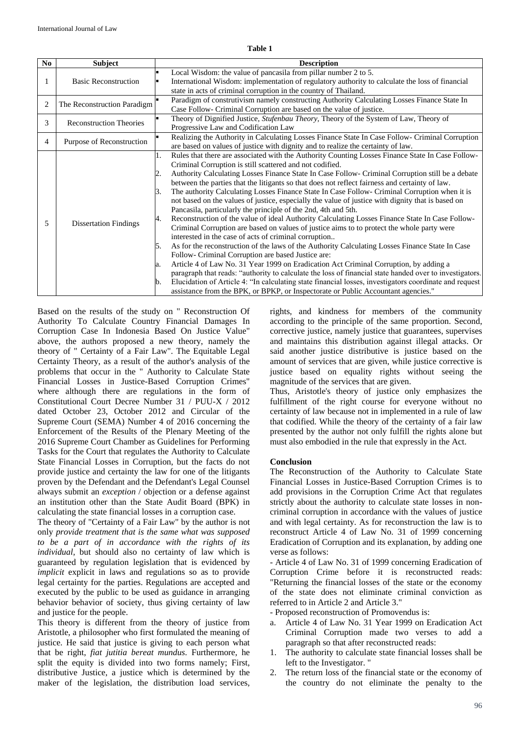**Table 1**

| No             | Subject                        | <b>Description</b>                                                                                                                                                                                                                                                                                                                                                                                                                                                                                                                                                                                                                                                                                                                                                                                                                                                                                                                                                                                                                                                                                                                                                                                                                                                                                                                                                                                                                                                                                         |
|----------------|--------------------------------|------------------------------------------------------------------------------------------------------------------------------------------------------------------------------------------------------------------------------------------------------------------------------------------------------------------------------------------------------------------------------------------------------------------------------------------------------------------------------------------------------------------------------------------------------------------------------------------------------------------------------------------------------------------------------------------------------------------------------------------------------------------------------------------------------------------------------------------------------------------------------------------------------------------------------------------------------------------------------------------------------------------------------------------------------------------------------------------------------------------------------------------------------------------------------------------------------------------------------------------------------------------------------------------------------------------------------------------------------------------------------------------------------------------------------------------------------------------------------------------------------------|
|                | <b>Basic Reconstruction</b>    | Local Wisdom: the value of pancasila from pillar number 2 to 5.<br>International Wisdom: implementation of regulatory authority to calculate the loss of financial<br>state in acts of criminal corruption in the country of Thailand.                                                                                                                                                                                                                                                                                                                                                                                                                                                                                                                                                                                                                                                                                                                                                                                                                                                                                                                                                                                                                                                                                                                                                                                                                                                                     |
| $\overline{c}$ | The Reconstruction Paradigm    | Paradigm of construtivism namely constructing Authority Calculating Losses Finance State In<br>Case Follow- Criminal Corruption are based on the value of justice.                                                                                                                                                                                                                                                                                                                                                                                                                                                                                                                                                                                                                                                                                                                                                                                                                                                                                                                                                                                                                                                                                                                                                                                                                                                                                                                                         |
| 3              | <b>Reconstruction Theories</b> | Theory of Dignified Justice, Stufenbau Theory, Theory of the System of Law, Theory of<br>Progressive Law and Codification Law                                                                                                                                                                                                                                                                                                                                                                                                                                                                                                                                                                                                                                                                                                                                                                                                                                                                                                                                                                                                                                                                                                                                                                                                                                                                                                                                                                              |
| $\overline{4}$ | Purpose of Reconstruction      | Realizing the Authority in Calculating Losses Finance State In Case Follow- Criminal Corruption<br>are based on values of justice with dignity and to realize the certainty of law.                                                                                                                                                                                                                                                                                                                                                                                                                                                                                                                                                                                                                                                                                                                                                                                                                                                                                                                                                                                                                                                                                                                                                                                                                                                                                                                        |
| 5              | <b>Dissertation Findings</b>   | Rules that there are associated with the Authority Counting Losses Finance State In Case Follow-<br>1.<br>Criminal Corruption is still scattered and not codified.<br>Authority Calculating Losses Finance State In Case Follow- Criminal Corruption still be a debate<br>2.<br>between the parties that the litigants so that does not reflect fairness and certainty of law.<br>The authority Calculating Losses Finance State In Case Follow- Criminal Corruption when it is<br>Β.<br>not based on the values of justice, especially the value of justice with dignity that is based on<br>Pancasila, particularly the principle of the 2nd, 4th and 5th.<br>Reconstruction of the value of ideal Authority Calculating Losses Finance State In Case Follow-<br>4.<br>Criminal Corruption are based on values of justice aims to to protect the whole party were<br>interested in the case of acts of criminal corruption<br>As for the reconstruction of the laws of the Authority Calculating Losses Finance State In Case<br>5.<br>Follow- Criminal Corruption are based Justice are:<br>Article 4 of Law No. 31 Year 1999 on Eradication Act Criminal Corruption, by adding a<br>a.<br>paragraph that reads: "authority to calculate the loss of financial state handed over to investigators.<br>Elucidation of Article 4: "In calculating state financial losses, investigators coordinate and request<br>b.<br>assistance from the BPK, or BPKP, or Inspectorate or Public Accountant agencies." |

Based on the results of the study on " Reconstruction Of Authority To Calculate Country Financial Damages In Corruption Case In Indonesia Based On Justice Value" above, the authors proposed a new theory, namely the theory of " Certainty of a Fair Law". The Equitable Legal Certainty Theory, as a result of the author's analysis of the problems that occur in the " Authority to Calculate State Financial Losses in Justice-Based Corruption Crimes" where although there are regulations in the form of Constitutional Court Decree Number 31 / PUU-X / 2012 dated October 23, October 2012 and Circular of the Supreme Court (SEMA) Number 4 of 2016 concerning the Enforcement of the Results of the Plenary Meeting of the 2016 Supreme Court Chamber as Guidelines for Performing Tasks for the Court that regulates the Authority to Calculate State Financial Losses in Corruption, but the facts do not provide justice and certainty the law for one of the litigants proven by the Defendant and the Defendant's Legal Counsel always submit an *exception* / objection or a defense against an institution other than the State Audit Board (BPK) in calculating the state financial losses in a corruption case.

The theory of "Certainty of a Fair Law" by the author is not only *provide treatment that is the same what was supposed to be a part of in accordance with the rights of its individual,* but should also no certainty of law which is guaranteed by regulation legislation that is evidenced by *implicit* explicit in laws and regulations so as to provide legal certainty for the parties. Regulations are accepted and executed by the public to be used as guidance in arranging behavior behavior of society, thus giving certainty of law and justice for the people.

This theory is different from the theory of justice from Aristotle, a philosopher who first formulated the meaning of justice. He said that justice is giving to each person what that be right, *fiat jutitia bereat mundus.* Furthermore, he split the equity is divided into two forms namely; First, distributive Justice, a justice which is determined by the maker of the legislation, the distribution load services,

rights, and kindness for members of the community according to the principle of the same proportion. Second, corrective justice, namely justice that guarantees, supervises and maintains this distribution against illegal attacks. Or said another justice distributive is justice based on the amount of services that are given, while justice corrective is justice based on equality rights without seeing the magnitude of the services that are given.

Thus, Aristotle's theory of justice only emphasizes the fulfillment of the right course for everyone without no certainty of law because not in implemented in a rule of law that codified. While the theory of the certainty of a fair law presented by the author not only fulfill the rights alone but must also embodied in the rule that expressly in the Act.

#### **Conclusion**

The Reconstruction of the Authority to Calculate State Financial Losses in Justice-Based Corruption Crimes is to add provisions in the Corruption Crime Act that regulates strictly about the authority to calculate state losses in noncriminal corruption in accordance with the values of justice and with legal certainty. As for reconstruction the law is to reconstruct Article 4 of Law No. 31 of 1999 concerning Eradication of Corruption and its explanation, by adding one verse as follows:

- Article 4 of Law No. 31 of 1999 concerning Eradication of Corruption Crime before it is reconstructed reads: "Returning the financial losses of the state or the economy of the state does not eliminate criminal conviction as referred to in Article 2 and Article 3."

- Proposed reconstruction of Promovendus is:

- a. Article 4 of Law No. 31 Year 1999 on Eradication Act Criminal Corruption made two verses to add a paragraph so that after reconstructed reads:
- 1. The authority to calculate state financial losses shall be left to the Investigator. "
- 2. The return loss of the financial state or the economy of the country do not eliminate the penalty to the